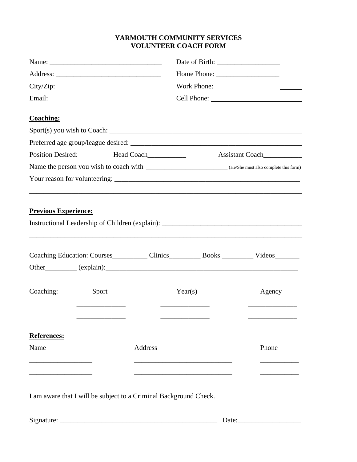## **YARMOUTH COMMUNITY SERVICES VOLUNTEER COACH FORM**

|                                                    |       |         |                                                                                                                 |                                                                                           | <b>Coaching:</b> |
|----------------------------------------------------|-------|---------|-----------------------------------------------------------------------------------------------------------------|-------------------------------------------------------------------------------------------|------------------|
|                                                    |       |         |                                                                                                                 |                                                                                           |                  |
|                                                    |       |         |                                                                                                                 |                                                                                           |                  |
| <b>Position Desired:</b><br>Head Coach____________ |       |         |                                                                                                                 |                                                                                           |                  |
|                                                    |       |         | Name the person you wish to coach with: __________________________________(He/She must also complete this form) |                                                                                           |                  |
|                                                    |       |         |                                                                                                                 |                                                                                           |                  |
|                                                    |       |         |                                                                                                                 |                                                                                           |                  |
| <b>Previous Experience:</b>                        |       |         |                                                                                                                 |                                                                                           |                  |
|                                                    |       |         |                                                                                                                 | Instructional Leadership of Children (explain): _________________________________         |                  |
|                                                    |       |         |                                                                                                                 |                                                                                           |                  |
|                                                    |       |         |                                                                                                                 |                                                                                           |                  |
|                                                    |       |         |                                                                                                                 | Coaching Education: Courses____________ Clinics___________ Books _________ Videos________ |                  |
|                                                    |       |         |                                                                                                                 |                                                                                           |                  |
|                                                    |       |         |                                                                                                                 |                                                                                           |                  |
| Coaching:                                          | Sport |         | Year(s)                                                                                                         | Agency                                                                                    |                  |
|                                                    |       |         |                                                                                                                 |                                                                                           |                  |
|                                                    |       |         |                                                                                                                 |                                                                                           |                  |
|                                                    |       |         |                                                                                                                 |                                                                                           |                  |
| <b>References:</b>                                 |       |         |                                                                                                                 |                                                                                           |                  |
| Name                                               |       | Address |                                                                                                                 | Phone                                                                                     |                  |
|                                                    |       |         |                                                                                                                 |                                                                                           |                  |
|                                                    |       |         |                                                                                                                 |                                                                                           |                  |
|                                                    |       |         |                                                                                                                 |                                                                                           |                  |
|                                                    |       |         | I am aware that I will be subject to a Criminal Background Check.                                               |                                                                                           |                  |
|                                                    |       |         |                                                                                                                 |                                                                                           |                  |